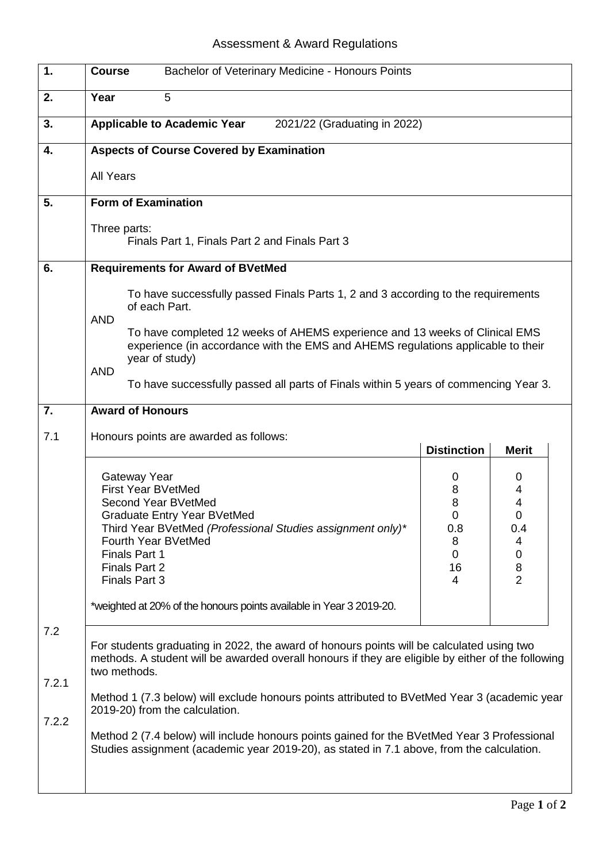## Assessment & Award Regulations

| $\overline{1}$ .      | Bachelor of Veterinary Medicine - Honours Points<br><b>Course</b>                                                                                                                                                                                                                                                                                                                                                                                                                                                                             |                                              |                                                                                 |  |
|-----------------------|-----------------------------------------------------------------------------------------------------------------------------------------------------------------------------------------------------------------------------------------------------------------------------------------------------------------------------------------------------------------------------------------------------------------------------------------------------------------------------------------------------------------------------------------------|----------------------------------------------|---------------------------------------------------------------------------------|--|
| 2.                    | Year<br>5                                                                                                                                                                                                                                                                                                                                                                                                                                                                                                                                     |                                              |                                                                                 |  |
| 3.                    | <b>Applicable to Academic Year</b><br>2021/22 (Graduating in 2022)                                                                                                                                                                                                                                                                                                                                                                                                                                                                            |                                              |                                                                                 |  |
| 4.                    | <b>Aspects of Course Covered by Examination</b>                                                                                                                                                                                                                                                                                                                                                                                                                                                                                               |                                              |                                                                                 |  |
|                       | <b>All Years</b>                                                                                                                                                                                                                                                                                                                                                                                                                                                                                                                              |                                              |                                                                                 |  |
| 5.                    | <b>Form of Examination</b>                                                                                                                                                                                                                                                                                                                                                                                                                                                                                                                    |                                              |                                                                                 |  |
|                       | Three parts:<br>Finals Part 1, Finals Part 2 and Finals Part 3                                                                                                                                                                                                                                                                                                                                                                                                                                                                                |                                              |                                                                                 |  |
| 6.                    | <b>Requirements for Award of BVetMed</b>                                                                                                                                                                                                                                                                                                                                                                                                                                                                                                      |                                              |                                                                                 |  |
|                       | To have successfully passed Finals Parts 1, 2 and 3 according to the requirements<br>of each Part.                                                                                                                                                                                                                                                                                                                                                                                                                                            |                                              |                                                                                 |  |
|                       | <b>AND</b><br>To have completed 12 weeks of AHEMS experience and 13 weeks of Clinical EMS<br>experience (in accordance with the EMS and AHEMS regulations applicable to their<br>year of study)                                                                                                                                                                                                                                                                                                                                               |                                              |                                                                                 |  |
|                       | <b>AND</b><br>To have successfully passed all parts of Finals within 5 years of commencing Year 3.                                                                                                                                                                                                                                                                                                                                                                                                                                            |                                              |                                                                                 |  |
| 7.                    | <b>Award of Honours</b>                                                                                                                                                                                                                                                                                                                                                                                                                                                                                                                       |                                              |                                                                                 |  |
| 7.1                   | Honours points are awarded as follows:                                                                                                                                                                                                                                                                                                                                                                                                                                                                                                        | <b>Distinction</b>                           | <b>Merit</b>                                                                    |  |
|                       | Gateway Year<br><b>First Year BVetMed</b><br>Second Year BVetMed<br>Graduate Entry Year BVetMed<br>Third Year BVetMed (Professional Studies assignment only)*<br>Fourth Year BVetMed<br><b>Finals Part 1</b><br>Finals Part 2<br>Finals Part 3                                                                                                                                                                                                                                                                                                | 0<br>8<br>8<br>0<br>0.8<br>8<br>0<br>16<br>4 | 0<br>4<br>4<br>$\Omega$<br>0.4<br>4<br>$\mathbf 0$<br>$\bf 8$<br>$\overline{2}$ |  |
|                       | *weighted at 20% of the honours points available in Year 3 2019-20.                                                                                                                                                                                                                                                                                                                                                                                                                                                                           |                                              |                                                                                 |  |
| 7.2<br>7.2.1<br>7.2.2 | For students graduating in 2022, the award of honours points will be calculated using two<br>methods. A student will be awarded overall honours if they are eligible by either of the following<br>two methods.<br>Method 1 (7.3 below) will exclude honours points attributed to BVetMed Year 3 (academic year<br>2019-20) from the calculation.<br>Method 2 (7.4 below) will include honours points gained for the BVetMed Year 3 Professional<br>Studies assignment (academic year 2019-20), as stated in 7.1 above, from the calculation. |                                              |                                                                                 |  |